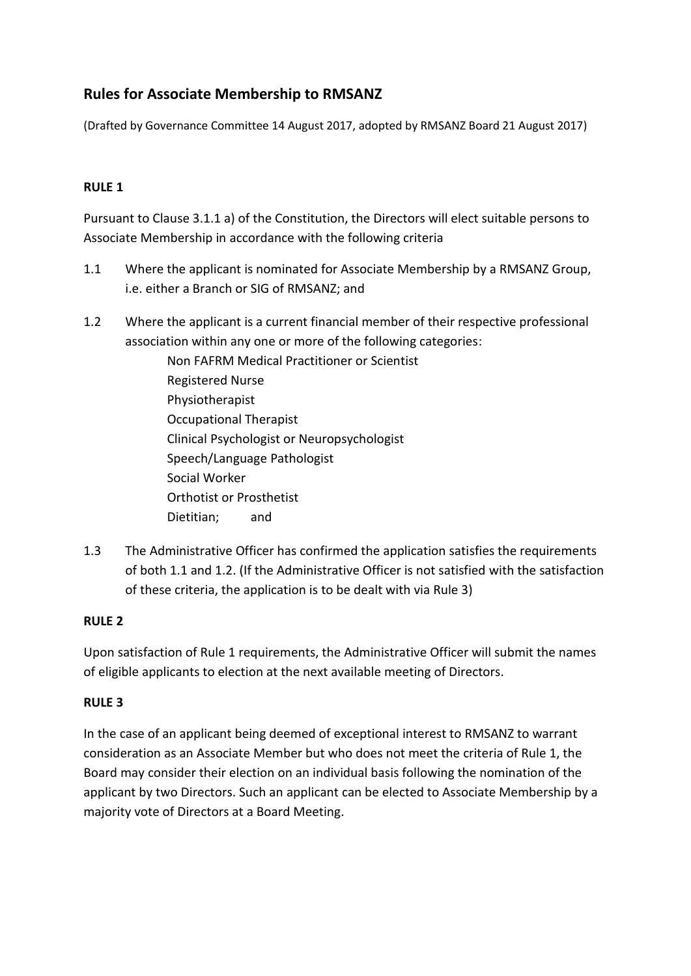# **Rules for Associate Membership to RMSANZ**

(Drafted by Governance Committee 14 August 2017, adopted by RMSANZ Board 21 August 2017)

## **RULE 1**

Pursuant to Clause 3.1.1 a) of the Constitution, the Directors will elect suitable persons to Associate Membership in accordance with the following criteria

- 1.1 Where the applicant is nominated for Associate Membership by a RMSANZ Group, i.e. either a Branch or SIG of RMSANZ; and
- 1.2 Where the applicant is a current financial member of their respective professional association within any one or more of the following categories:
	- Non FAFRM Medical Practitioner or Scientist Registered Nurse Physiotherapist Occupational Therapist Clinical Psychologist or Neuropsychologist Speech/Language Pathologist Social Worker Orthotist or Prosthetist Dietitian; and
- 1.3 The Administrative Officer has confirmed the application satisfies the requirements of both 1.1 and 1.2. (If the Administrative Officer is not satisfied with the satisfaction of these criteria, the application is to be dealt with via Rule 3)

## **RULE 2**

Upon satisfaction of Rule 1 requirements, the Administrative Officer will submit the names of eligible applicants to election at the next available meeting of Directors.

#### **RULE 3**

In the case of an applicant being deemed of exceptional interest to RMSANZ to warrant consideration as an Associate Member but who does not meet the criteria of Rule 1, the Board may consider their election on an individual basis following the nomination of the applicant by two Directors. Such an applicant can be elected to Associate Membership by a majority vote of Directors at a Board Meeting.